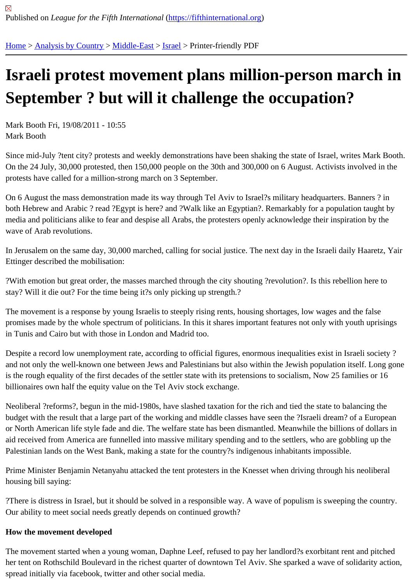## [Isra](https://fifthinternational.org/)[eli protest](https://fifthinternational.org/category/1) [movem](https://fifthinternational.org/category/1/178)[en](https://fifthinternational.org/category/1/178/465)t plans million-person march in September ? but will it challenge the occupation?

Mark Booth Fri, 19/08/2011 - 10:55 Mark Booth

Since mid-July ?tent city? protests and weekly demonstrations have been shaking the state of Israel, writes Mark I On the 24 July, 30,000 protested, then 150,000 people on the 30th and 300,000 on 6 August. Activists involved in protests have called for a million-strong march on 3 September.

On 6 August the mass demonstration made its way through Tel Aviv to Israel?s military headquarters. Banners ? i both Hebrew and Arabic ? read ?Egypt is here? and ?Walk like an Egyptian?. Remarkably for a population taught media and politicians alike to fear and despise all Arabs, the protesters openly acknowledge their inspiration by the wave of Arab revolutions.

In Jerusalem on the same day, 30,000 marched, calling for social justice. The next day in the Israeli daily Haaretz, Ettinger described the mobilisation:

?With emotion but great order, the masses marched through the city shouting ?revolution?. Is this rebellion here to stay? Will it die out? For the time being it?s only picking up strength.?

The movement is a response by young Israelis to steeply rising rents, housing shortages, low wages and the false promises made by the whole spectrum of politicians. In this it shares important features not only with youth uprisin in Tunis and Cairo but with those in London and Madrid too.

Despite a record low unemployment rate, according to official figures, enormous inequalities exist in Israeli society and not only the well-known one between Jews and Palestinians but also within the Jewish population itself. Long is the rough equality of the first decades of the settler state with its pretensions to socialism, Now 25 families or 16 billionaires own half the equity value on the Tel Aviv stock exchange.

Neoliberal ?reforms?, begun in the mid-1980s, have slashed taxation for the rich and tied the state to balancing th budget with the result that a large part of the working and middle classes have seen the ?Israeli dream? of a Europ or North American life style fade and die. The welfare state has been dismantled. Meanwhile the billions of dollars in aid received from America are funnelled into massive military spending and to the settlers, who are gobbling up the Palestinian lands on the West Bank, making a state for the country?s indigenous inhabitants impossible.

Prime Minister Benjamin Netanyahu attacked the tent protesters in the Knesset when driving through his neolibera housing bill saying:

?There is distress in Israel, but it should be solved in a responsible way. A wave of populism is sweeping the coun Our ability to meet social needs greatly depends on continued growth?

How the movement developed

The movement started when a young woman, Daphne Leef, refused to pay her landlord?s exorbitant rent and pitc her tent on Rothschild Boulevard in the richest quarter of downtown Tel Aviv. She sparked a wave of solidarity acti spread initially via facebook, twitter and other social media.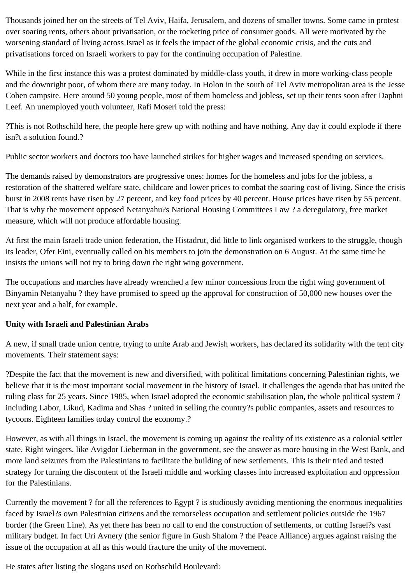Thousands joined her on the streets of Tel Aviv, Haifa, Jerusalem, and dozens of smaller towns. Some came in protest over soaring rents, others about privatisation, or the rocketing price of consumer goods. All were motivated by the worsening standard of living across Israel as it feels the impact of the global economic crisis, and the cuts and privatisations forced on Israeli workers to pay for the continuing occupation of Palestine.

While in the first instance this was a protest dominated by middle-class youth, it drew in more working-class people and the downright poor, of whom there are many today. In Holon in the south of Tel Aviv metropolitan area is the Jesse Cohen campsite. Here around 50 young people, most of them homeless and jobless, set up their tents soon after Daphni Leef. An unemployed youth volunteer, Rafi Moseri told the press:

?This is not Rothschild here, the people here grew up with nothing and have nothing. Any day it could explode if there isn?t a solution found.?

Public sector workers and doctors too have launched strikes for higher wages and increased spending on services.

The demands raised by demonstrators are progressive ones: homes for the homeless and jobs for the jobless, a restoration of the shattered welfare state, childcare and lower prices to combat the soaring cost of living. Since the crisis burst in 2008 rents have risen by 27 percent, and key food prices by 40 percent. House prices have risen by 55 percent. That is why the movement opposed Netanyahu?s National Housing Committees Law ? a deregulatory, free market measure, which will not produce affordable housing.

At first the main Israeli trade union federation, the Histadrut, did little to link organised workers to the struggle, though its leader, Ofer Eini, eventually called on his members to join the demonstration on 6 August. At the same time he insists the unions will not try to bring down the right wing government.

The occupations and marches have already wrenched a few minor concessions from the right wing government of Binyamin Netanyahu ? they have promised to speed up the approval for construction of 50,000 new houses over the next year and a half, for example.

## **Unity with Israeli and Palestinian Arabs**

A new, if small trade union centre, trying to unite Arab and Jewish workers, has declared its solidarity with the tent city movements. Their statement says:

?Despite the fact that the movement is new and diversified, with political limitations concerning Palestinian rights, we believe that it is the most important social movement in the history of Israel. It challenges the agenda that has united the ruling class for 25 years. Since 1985, when Israel adopted the economic stabilisation plan, the whole political system ? including Labor, Likud, Kadima and Shas ? united in selling the country?s public companies, assets and resources to tycoons. Eighteen families today control the economy.?

However, as with all things in Israel, the movement is coming up against the reality of its existence as a colonial settler state. Right wingers, like Avigdor Lieberman in the government, see the answer as more housing in the West Bank, and more land seizures from the Palestinians to facilitate the building of new settlements. This is their tried and tested strategy for turning the discontent of the Israeli middle and working classes into increased exploitation and oppression for the Palestinians.

Currently the movement ? for all the references to Egypt ? is studiously avoiding mentioning the enormous inequalities faced by Israel?s own Palestinian citizens and the remorseless occupation and settlement policies outside the 1967 border (the Green Line). As yet there has been no call to end the construction of settlements, or cutting Israel?s vast military budget. In fact Uri Avnery (the senior figure in Gush Shalom ? the Peace Alliance) argues against raising the issue of the occupation at all as this would fracture the unity of the movement.

He states after listing the slogans used on Rothschild Boulevard: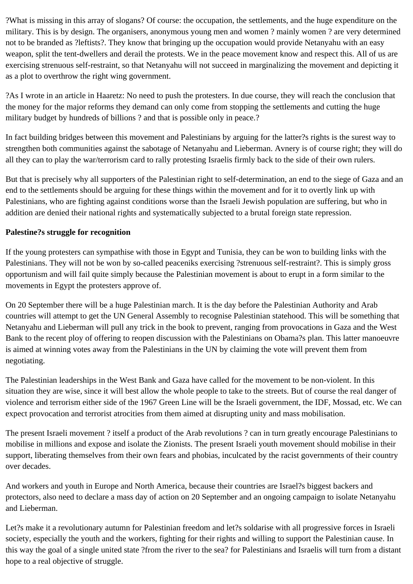?What is missing in this array of slogans? Of course: the occupation, the settlements, and the huge expenditure on the military. This is by design. The organisers, anonymous young men and women ? mainly women ? are very determined not to be branded as ?leftists?. They know that bringing up the occupation would provide Netanyahu with an easy weapon, split the tent-dwellers and derail the protests. We in the peace movement know and respect this. All of us are exercising strenuous self-restraint, so that Netanyahu will not succeed in marginalizing the movement and depicting it as a plot to overthrow the right wing government.

?As I wrote in an article in Haaretz: No need to push the protesters. In due course, they will reach the conclusion that the money for the major reforms they demand can only come from stopping the settlements and cutting the huge military budget by hundreds of billions? and that is possible only in peace.?

In fact building bridges between this movement and Palestinians by arguing for the latter?s rights is the surest way to strengthen both communities against the sabotage of Netanyahu and Lieberman. Avnery is of course right; they will do all they can to play the war/terrorism card to rally protesting Israelis firmly back to the side of their own rulers.

But that is precisely why all supporters of the Palestinian right to self-determination, an end to the siege of Gaza and an end to the settlements should be arguing for these things within the movement and for it to overtly link up with Palestinians, who are fighting against conditions worse than the Israeli Jewish population are suffering, but who in addition are denied their national rights and systematically subjected to a brutal foreign state repression.

## **Palestine?s struggle for recognition**

If the young protesters can sympathise with those in Egypt and Tunisia, they can be won to building links with the Palestinians. They will not be won by so-called peaceniks exercising ?strenuous self-restraint?. This is simply gross opportunism and will fail quite simply because the Palestinian movement is about to erupt in a form similar to the movements in Egypt the protesters approve of.

On 20 September there will be a huge Palestinian march. It is the day before the Palestinian Authority and Arab countries will attempt to get the UN General Assembly to recognise Palestinian statehood. This will be something that Netanyahu and Lieberman will pull any trick in the book to prevent, ranging from provocations in Gaza and the West Bank to the recent ploy of offering to reopen discussion with the Palestinians on Obama?s plan. This latter manoeuvre is aimed at winning votes away from the Palestinians in the UN by claiming the vote will prevent them from negotiating.

The Palestinian leaderships in the West Bank and Gaza have called for the movement to be non-violent. In this situation they are wise, since it will best allow the whole people to take to the streets. But of course the real danger of violence and terrorism either side of the 1967 Green Line will be the Israeli government, the IDF, Mossad, etc. We can expect provocation and terrorist atrocities from them aimed at disrupting unity and mass mobilisation.

The present Israeli movement ? itself a product of the Arab revolutions ? can in turn greatly encourage Palestinians to mobilise in millions and expose and isolate the Zionists. The present Israeli youth movement should mobilise in their support, liberating themselves from their own fears and phobias, inculcated by the racist governments of their country over decades.

And workers and youth in Europe and North America, because their countries are Israel?s biggest backers and protectors, also need to declare a mass day of action on 20 September and an ongoing campaign to isolate Netanyahu and Lieberman.

Let?s make it a revolutionary autumn for Palestinian freedom and let?s soldarise with all progressive forces in Israeli society, especially the youth and the workers, fighting for their rights and willing to support the Palestinian cause. In this way the goal of a single united state ?from the river to the sea? for Palestinians and Israelis will turn from a distant hope to a real objective of struggle.